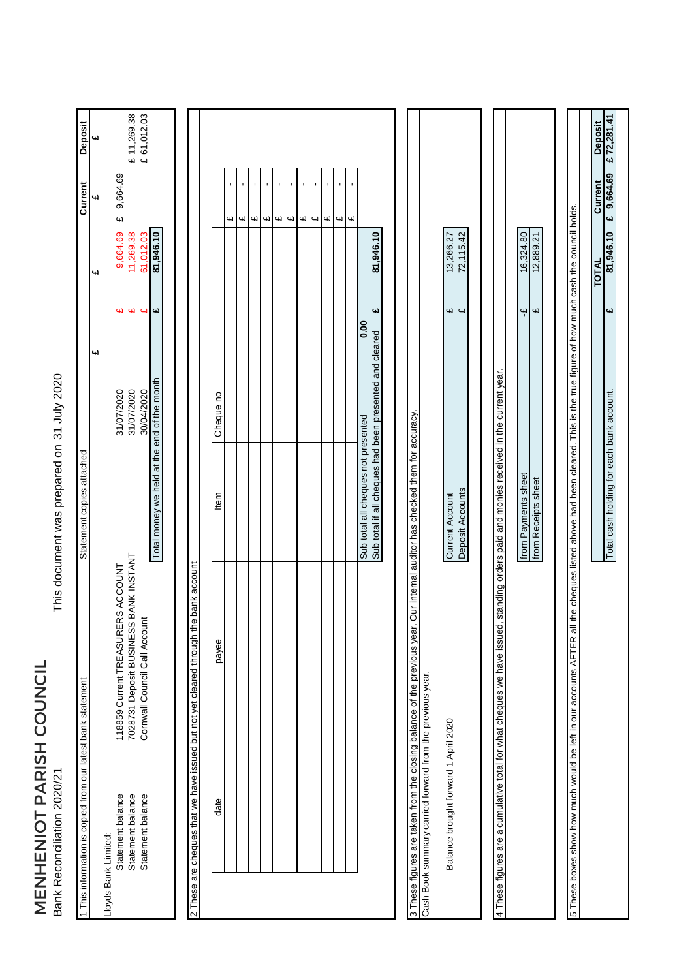MENHENIOT PARISH COUNCIL<br>Bank Reconciliation 2020/21 MENHENIOT PARISH COUNCIL Bank Reconciliation 2020/21

This document was prepared on 31 July 2020 This document was prepared on

| <b>Deposit</b>                                              | 4d                                        | £ 11,269.38<br>£ 61,012.03                                             |                                             |                                                                        |           |    |                               |                      |   |                      |   |    |                      |        |                                     |                                                         |                                                                                                                              |                                      |                         |                                                                                                                                       |                     |                         |                                                                                                                                                                            | Deposit      | £72,281.41                          |
|-------------------------------------------------------------|-------------------------------------------|------------------------------------------------------------------------|---------------------------------------------|------------------------------------------------------------------------|-----------|----|-------------------------------|----------------------|---|----------------------|---|----|----------------------|--------|-------------------------------------|---------------------------------------------------------|------------------------------------------------------------------------------------------------------------------------------|--------------------------------------|-------------------------|---------------------------------------------------------------------------------------------------------------------------------------|---------------------|-------------------------|----------------------------------------------------------------------------------------------------------------------------------------------------------------------------|--------------|-------------------------------------|
| Current                                                     | 9,664.69<br>41<br>$\omega$                |                                                                        |                                             |                                                                        |           | cЧ | $\overline{\mathbf{u}}$<br>41 | $\blacksquare$<br>41 | Щ | r.<br>$\omega$<br>СN | Щ | Цl | $\blacksquare$<br>41 | ı<br>Ц |                                     |                                                         |                                                                                                                              |                                      |                         |                                                                                                                                       |                     |                         |                                                                                                                                                                            | Current      | 9,664.69<br>$\overline{\mathbf{u}}$ |
|                                                             | 9,664.69<br><b>C</b>                      | 11,269.38<br>61,012.03                                                 | 81,946.10                                   |                                                                        |           |    |                               |                      |   |                      |   |    |                      |        |                                     | 81,946.10                                               |                                                                                                                              | 13,266.27                            | 72,115.42               |                                                                                                                                       | 16,324.80           | 12,889.21               |                                                                                                                                                                            | <b>TOTAL</b> | 81,946.10                           |
|                                                             | W                                         | $94$ $94$                                                              |                                             |                                                                        |           |    |                               |                      |   |                      |   |    |                      | 0.00   |                                     | 4                                                       |                                                                                                                              | 4l                                   | $\overline{\mathbf{u}}$ |                                                                                                                                       | Ψ                   | $\overline{\mathbf{u}}$ |                                                                                                                                                                            |              | £                                   |
|                                                             | یبا<br>31/07/2020                         | 31/07/2020<br>30/04/2020                                               |                                             |                                                                        | Cheque no |    |                               |                      |   |                      |   |    |                      |        |                                     |                                                         |                                                                                                                              |                                      |                         |                                                                                                                                       |                     |                         |                                                                                                                                                                            |              |                                     |
| Statement copies attached                                   |                                           |                                                                        | Total money we held at the end of the month |                                                                        | Item      |    |                               |                      |   |                      |   |    |                      |        | Sub total all cheques not presented | Sub total if all cheques had been presented and cleared |                                                                                                                              | <b>Current Account</b>               | Deposit Accounts        |                                                                                                                                       | from Payments sheet | from Receipts sheet     |                                                                                                                                                                            |              |                                     |
|                                                             | 118859 Current TREASURERS ACCOUNT         | 7028731 Deposit BUSINESS BANK INSTANT<br>Cornwall Council Call Account |                                             | he bank account                                                        | payee     |    |                               |                      |   |                      |   |    |                      |        |                                     |                                                         | 3 These figures are taken from the closing balance of the previous year. Our internal auditor has checked them for accuracy. |                                      |                         | 4 These figures are a cumulative total for what cheques we have issued, standing orders paid and monies received in the current year. |                     |                         | 5 These boxes show how much would be left in our accounts AFTER all the cheques listed above had been cleared. This is the true figure of how much cash the council holds. |              |                                     |
| 1 This information is copied from our latest bank statement | Statement balance<br>Lloyds Bank Limited: | Statement balance<br>Statement balance                                 |                                             | 2 These are cheques that we have issued but not yet cleared through th | date      |    |                               |                      |   |                      |   |    |                      |        |                                     |                                                         | Cash Book summary carried forward from the previous year.                                                                    | Balance brought forward 1 April 2020 |                         |                                                                                                                                       |                     |                         |                                                                                                                                                                            |              |                                     |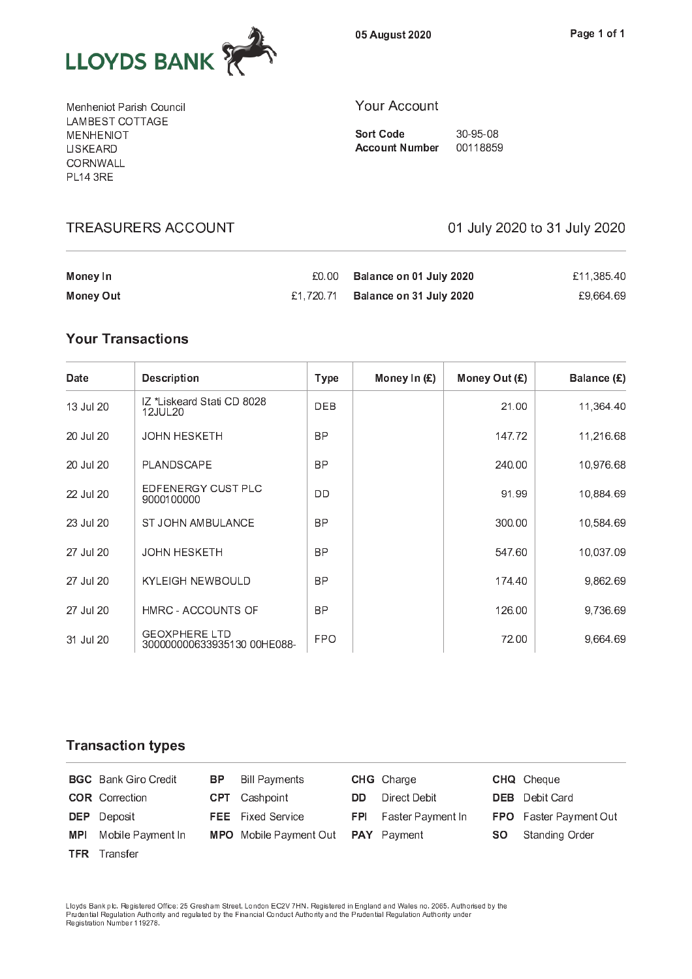

05 August 2020

Menheniot Parish Council LAMBEST COTTAGE **MENHENIOT LISKEARD CORNWALL PL14 3RE** 

#### Your Account

**Sort Code** 30-95-08 Account Number 00118859

| Money In         | £0.00 | Balance on 01 July 2020           | £11.385.40 |
|------------------|-------|-----------------------------------|------------|
| <b>Money Out</b> |       | £1,720.71 Balance on 31 July 2020 | £9.664.69  |

# **Your Transactions**

| Date      | <b>Description</b>                                  | <b>Type</b> | Money In $(E)$ | Money Out (£) | Balance $(E)$ |
|-----------|-----------------------------------------------------|-------------|----------------|---------------|---------------|
| 13 Jul 20 | IZ *Liskeard Stati CD 8028<br>12JUL20               | <b>DEB</b>  |                | 21.00         | 11,364.40     |
| 20 Jul 20 | <b>JOHN HESKETH</b>                                 | <b>BP</b>   |                | 147.72        | 11,216.68     |
| 20 Jul 20 | PLANDSCAPE                                          | <b>BP</b>   |                | 240.00        | 10,976.68     |
| 22 Jul 20 | EDFENERGY CUST PLC<br>9000100000                    | DD          |                | 91.99         | 10,884.69     |
| 23 Jul 20 | <b>ST JOHN AMBULANCE</b>                            | <b>BP</b>   |                | 300.00        | 10,584.69     |
| 27 Jul 20 | <b>JOHN HESKETH</b>                                 | <b>BP</b>   |                | 547.60        | 10,037.09     |
| 27 Jul 20 | <b>KYLEIGH NEWBOULD</b>                             | <b>BP</b>   |                | 174.40        | 9,862.69      |
| 27 Jul 20 | HMRC - ACCOUNTS OF                                  | <b>BP</b>   |                | 126.00        | 9,736.69      |
| 31 Jul 20 | <b>GEOXPHERE LTD</b><br>300000000633935130 00HE088- | <b>FPO</b>  |                | 72.00         | 9,664.69      |

#### **Transaction types**

|            | <b>BGC</b> Bank Giro Credit | BP. | <b>Bill Payments</b>                             |     | <b>CHG</b> Charge            |     | <b>CHQ</b> Cheque             |
|------------|-----------------------------|-----|--------------------------------------------------|-----|------------------------------|-----|-------------------------------|
|            | <b>COR</b> Correction       |     | <b>CPT</b> Cashpoint                             | DD. | Direct Debit                 |     | <b>DEB</b> Debit Card         |
|            | <b>DEP</b> Deposit          |     | <b>FEE</b> Fixed Service                         |     | <b>FPI</b> Faster Payment In |     | <b>FPO</b> Faster Payment Out |
| <b>MPI</b> | Mobile Payment In           |     | <b>MPO</b> Mobile Payment Out <b>PAY</b> Payment |     |                              | SO. | Standing Order                |
|            | <b>TFR</b> Transfer         |     |                                                  |     |                              |     |                               |

Lloyds Bank plc. Registered Office: 25 Gresham Street, London EC2V 7HN. Registered in England and Wales no. 2065. Authorised by th Registration Number 119278.

# TREASURERS ACCOUNT 1999 100 1 100 2020 to 31 July 2020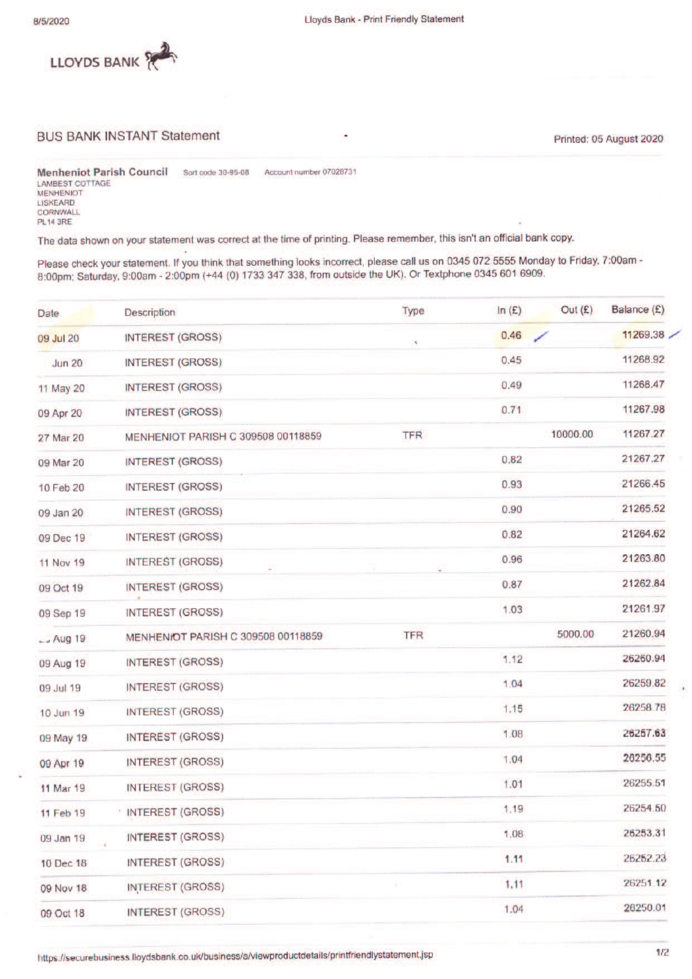

#### **BUS BANK INSTANT Statement**

Printed: 05 August 2020

**Menheniot Parish Council** Account number 07028731 Sort code 30-95-08 **LAMBEST COTTAGE MENHENIOT** LISKEARD CORNWALL **PL14 3RE** 

The data shown on your statement was correct at the time of printing. Please remember, this isn't an official bank copy.

Please check your statement. If you think that something looks incorrect, please call us on 0345 072 5555 Monday to Friday, 7:00am - 8:00pm; Saturday, 9:00am - 2:00pm (+44 (0) 1733 347 338, from outside the UK). Or Textpho

| Date          | Description                        | Type       | ln(E) | Out $(E)$ | Balance (£) |
|---------------|------------------------------------|------------|-------|-----------|-------------|
| 09 Jul 20     | <b>INTEREST (GROSS)</b>            | ¥.         | 0.46  |           | 11269.38    |
| <b>Jun 20</b> | <b>INTEREST (GROSS)</b>            |            | 0.45  |           | 11268.92    |
| 11 May 20     | <b>INTEREST (GROSS)</b>            |            | 0.49  |           | 11268.47    |
| 09 Apr 20     | <b>INTEREST (GROSS)</b>            |            | 0.71  |           | 11267.98    |
| 27 Mar 20     | MENHENIOT PARISH C 309508 00118859 | <b>TFR</b> |       | 10000.00  | 11267.27    |
| 09 Mar 20     | <b>INTEREST (GROSS)</b>            |            | 0.82  |           | 21267.27    |
| 10 Feb 20     | <b>INTEREST (GROSS)</b>            |            | 0.93  |           | 21266.45    |
| 09 Jan 20     | <b>INTEREST (GROSS)</b>            |            | 0.90  |           | 21265.52    |
| 09 Dec 19     | <b>INTEREST (GROSS)</b>            |            | 0.82  |           | 21264.62    |
| 11 Nov 19     | <b>INTEREST (GROSS)</b><br>÷.      |            | 0.96  |           | 21263.80    |
| 09 Oct 19     | <b>INTEREST (GROSS)</b>            |            | 0.87  |           | 21262.84    |
| 09 Sep 19     | <b>INTEREST (GROSS)</b>            |            | 1.03  |           | 21261.97    |
| $-$ Aug 19    | MENHENIOT PARISH C 309508 00118859 | <b>TFR</b> |       | 5000.00   | 21260.94    |
| 09 Aug 19     | <b>INTEREST (GROSS)</b>            |            | 1.12  |           | 26260.94    |
| 09 Jul 19     | <b>INTEREST (GROSS)</b>            |            | 1.04  |           | 26259.82    |
| 10 Jun 19     | <b>INTEREST (GROSS)</b>            |            | 1.15  |           | 26258.78    |
| 09 May 19     | <b>INTEREST (GROSS)</b>            |            | 1.08  |           | 26257.63    |
| 09 Apr 19     | <b>INTEREST (GROSS)</b>            |            | 1.04  |           | 26256.55    |
| 11 Mar 19     | <b>INTEREST (GROSS)</b>            |            | 1.01  |           | 26255.51    |
| 11 Feb 19     | <b>INTEREST (GROSS)</b>            |            | 1.19  |           | 26254.50    |
| 09 Jan 19     | INTEREST (GROSS)                   |            | 1.08  |           | 26253.31    |
| 10 Dec 18     | INTEREST (GROSS)                   |            | 1.11  |           | 26252.23    |
| 09 Nov 18     | <b>INTEREST (GROSS)</b>            |            | 1,11  |           | 26251.12    |
| 09 Oct 18     | <b>INTEREST (GROSS)</b>            |            | 1.04  |           | 26250.01    |